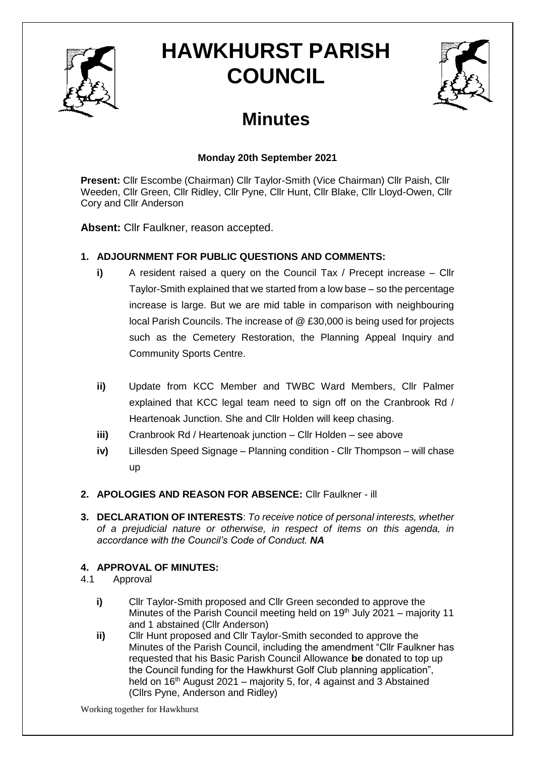

# **HAWKHURST PARISH COUNCIL**



# **Minutes**

# **Monday 20th September 2021**

**Present:** Cllr Escombe (Chairman) Cllr Taylor-Smith (Vice Chairman) Cllr Paish, Cllr Weeden, Cllr Green, Cllr Ridley, Cllr Pyne, Cllr Hunt, Cllr Blake, Cllr Lloyd-Owen, Cllr Cory and Cllr Anderson

**Absent:** Cllr Faulkner, reason accepted.

# **1. ADJOURNMENT FOR PUBLIC QUESTIONS AND COMMENTS:**

- **i)** A resident raised a query on the Council Tax / Precept increase Cllr Taylor-Smith explained that we started from a low base – so the percentage increase is large. But we are mid table in comparison with neighbouring local Parish Councils. The increase of @ £30,000 is being used for projects such as the Cemetery Restoration, the Planning Appeal Inquiry and Community Sports Centre.
- **ii)** Update from KCC Member and TWBC Ward Members, Cllr Palmer explained that KCC legal team need to sign off on the Cranbrook Rd / Heartenoak Junction. She and Cllr Holden will keep chasing.
- **iii)** Cranbrook Rd / Heartenoak junction Cllr Holden see above
- **iv)** Lillesden Speed Signage Planning condition Cllr Thompson will chase up
- **2. APOLOGIES AND REASON FOR ABSENCE:** Cllr Faulkner ill
- **3. DECLARATION OF INTERESTS**: *To receive notice of personal interests, whether of a prejudicial nature or otherwise, in respect of items on this agenda, in accordance with the Council's Code of Conduct. NA*

# **4. APPROVAL OF MINUTES:**

- 4.1 Approval
	- **i)** Cllr Taylor-Smith proposed and Cllr Green seconded to approve the Minutes of the Parish Council meeting held on 19<sup>th</sup> July 2021 – majority 11 and 1 abstained (Cllr Anderson)
	- **ii)** Cllr Hunt proposed and Cllr Taylor-Smith seconded to approve the Minutes of the Parish Council, including the amendment "Cllr Faulkner has requested that his Basic Parish Council Allowance **be** donated to top up the Council funding for the Hawkhurst Golf Club planning application", held on  $16<sup>th</sup>$  August 2021 – majority 5, for, 4 against and 3 Abstained (Cllrs Pyne, Anderson and Ridley)

Working together for Hawkhurst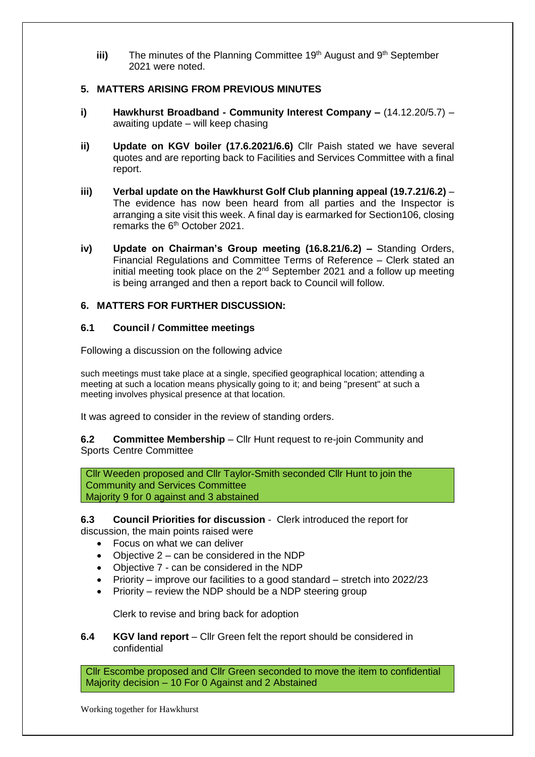iii) The minutes of the Planning Committee 19<sup>th</sup> August and 9<sup>th</sup> September 2021 were noted.

#### **5. MATTERS ARISING FROM PREVIOUS MINUTES**

- **i) Hawkhurst Broadband - Community Interest Company –** (14.12.20/5.7) awaiting update – will keep chasing
- **ii) Update on KGV boiler (17.6.2021/6.6)** Cllr Paish stated we have several quotes and are reporting back to Facilities and Services Committee with a final report.
- **iii) Verbal update on the Hawkhurst Golf Club planning appeal (19.7.21/6.2)** The evidence has now been heard from all parties and the Inspector is arranging a site visit this week. A final day is earmarked for Section106, closing remarks the 6<sup>th</sup> October 2021.
- **iv) Update on Chairman's Group meeting (16.8.21/6.2) –** Standing Orders, Financial Regulations and Committee Terms of Reference – Clerk stated an initial meeting took place on the  $2^{nd}$  September 2021 and a follow up meeting is being arranged and then a report back to Council will follow.

# **6. MATTERS FOR FURTHER DISCUSSION:**

# **6.1 Council / Committee meetings**

Following a discussion on the following advice

such meetings must take place at a single, specified geographical location; attending a meeting at such a location means physically going to it; and being "present" at such a meeting involves physical presence at that location.

It was agreed to consider in the review of standing orders.

**6.2 Committee Membership** – Cllr Hunt request to re-join Community and Sports Centre Committee

Cllr Weeden proposed and Cllr Taylor-Smith seconded Cllr Hunt to join the Community and Services Committee Majority 9 for 0 against and 3 abstained

**6.3 Council Priorities for discussion** - Clerk introduced the report for

discussion, the main points raised were

- Focus on what we can deliver
- Objective 2 can be considered in the NDP
- Objective 7 can be considered in the NDP
- Priority improve our facilities to a good standard stretch into 2022/23
- Priority review the NDP should be a NDP steering group

Clerk to revise and bring back for adoption

**6.4 KGV land report** – Cllr Green felt the report should be considered in confidential

Cllr Escombe proposed and Cllr Green seconded to move the item to confidential Majority decision – 10 For 0 Against and 2 Abstained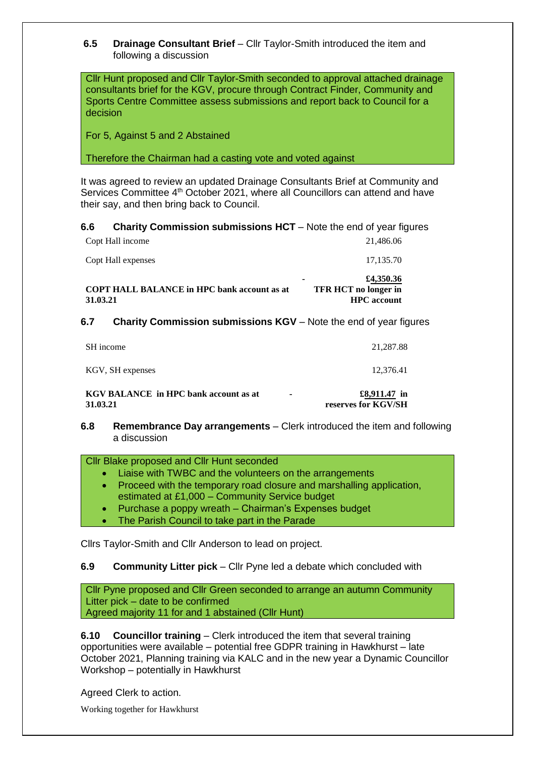**6.5 Drainage Consultant Brief** – Cllr Taylor-Smith introduced the item and following a discussion

Cllr Hunt proposed and Cllr Taylor-Smith seconded to approval attached drainage consultants brief for the KGV, procure through Contract Finder, Community and Sports Centre Committee assess submissions and report back to Council for a decision

For 5, Against 5 and 2 Abstained

Therefore the Chairman had a casting vote and voted against

It was agreed to review an updated Drainage Consultants Brief at Community and Services Committee 4<sup>th</sup> October 2021, where all Councillors can attend and have their say, and then bring back to Council.

**6.6 Charity Commission submissions HCT** – Note the end of year figures

| <b>COPT HALL BALANCE in HPC bank account as at</b><br>31.03.21 | ٠ | £4,350.36<br><b>TFR HCT</b> no longer in<br><b>HPC</b> account |
|----------------------------------------------------------------|---|----------------------------------------------------------------|
| Copt Hall expenses                                             |   | 17,135.70                                                      |
| Copt Hall income                                               |   | 21,486.06                                                      |

**6.7 Charity Commission submissions KGV** – Note the end of year figures

**6.8 Remembrance Day arrangements** – Clerk introduced the item and following a discussion

#### Cllr Blake proposed and Cllr Hunt seconded

- Liaise with TWBC and the volunteers on the arrangements
- Proceed with the temporary road closure and marshalling application, estimated at £1,000 – Community Service budget
- Purchase a poppy wreath Chairman's Expenses budget
- The Parish Council to take part in the Parade

Cllrs Taylor-Smith and Cllr Anderson to lead on project.

#### **6.9 Community Litter pick** – Cllr Pyne led a debate which concluded with

Cllr Pyne proposed and Cllr Green seconded to arrange an autumn Community Litter pick – date to be confirmed Agreed majority 11 for and 1 abstained (Cllr Hunt)

**6.10 Councillor training** – Clerk introduced the item that several training opportunities were available – potential free GDPR training in Hawkhurst – late October 2021, Planning training via KALC and in the new year a Dynamic Councillor Workshop – potentially in Hawkhurst

Agreed Clerk to action.

Working together for Hawkhurst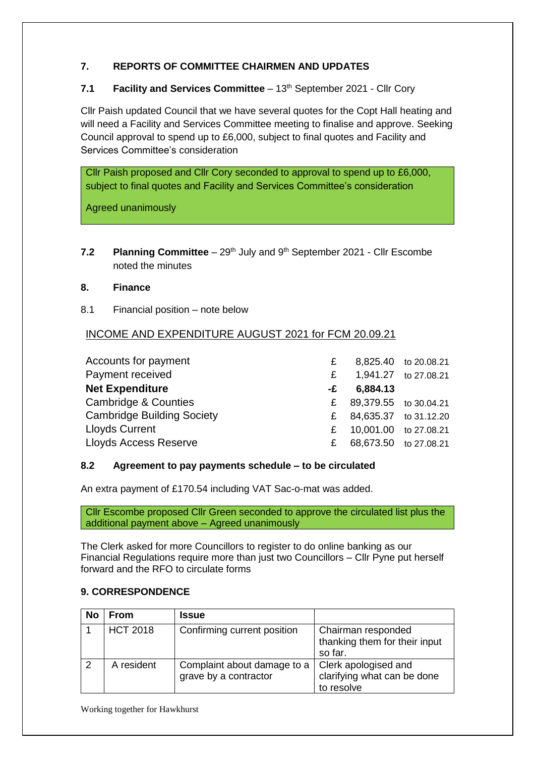# **7. REPORTS OF COMMITTEE CHAIRMEN AND UPDATES**

# **7.1 Facility and Services Committee** – 13<sup>th</sup> September 2021 - Cllr Cory

Cllr Paish updated Council that we have several quotes for the Copt Hall heating and will need a Facility and Services Committee meeting to finalise and approve. Seeking Council approval to spend up to £6,000, subject to final quotes and Facility and Services Committee's consideration

Cllr Paish proposed and Cllr Cory seconded to approval to spend up to £6,000, subject to final quotes and Facility and Services Committee's consideration

Agreed unanimously

**7.2 Planning Committee** – 29<sup>th</sup> July and 9<sup>th</sup> September 2021 - Cllr Escombe noted the minutes

#### **8. Finance**

8.1 Financial position – note below

# INCOME AND EXPENDITURE AUGUST 2021 for FCM 20.09.21

| Accounts for payment              | £            |                       | 8,825.40 to 20.08.21 |
|-----------------------------------|--------------|-----------------------|----------------------|
| Payment received                  | £            |                       | 1,941.27 to 27.08.21 |
| <b>Net Expenditure</b>            | -£           | 6,884.13              |                      |
| <b>Cambridge &amp; Counties</b>   | $\mathbf{f}$ | 89,379.55 to 30.04.21 |                      |
| <b>Cambridge Building Society</b> | £            | 84,635.37 to 31.12.20 |                      |
| <b>Lloyds Current</b>             | £            | 10,001.00 to 27.08.21 |                      |
| <b>Lloyds Access Reserve</b>      | £.           | 68,673.50 to 27.08.21 |                      |

#### **8.2 Agreement to pay payments schedule – to be circulated**

An extra payment of £170.54 including VAT Sac-o-mat was added.

Cllr Escombe proposed Cllr Green seconded to approve the circulated list plus the additional payment above – Agreed unanimously

The Clerk asked for more Councillors to register to do online banking as our Financial Regulations require more than just two Councillors – Cllr Pyne put herself forward and the RFO to circulate forms

# **9. CORRESPONDENCE**

| No | <b>From</b>     | <b>Issue</b>                                         |                                                                   |
|----|-----------------|------------------------------------------------------|-------------------------------------------------------------------|
|    | <b>HCT 2018</b> | Confirming current position                          | Chairman responded<br>thanking them for their input<br>so far.    |
|    | A resident      | Complaint about damage to a<br>grave by a contractor | Clerk apologised and<br>clarifying what can be done<br>to resolve |

Working together for Hawkhurst